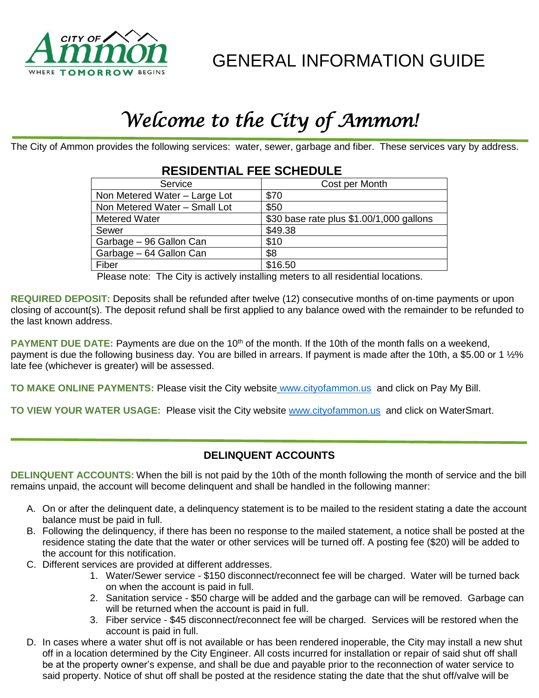

# *Welcome to the City of Ammon!*

The City of Ammon provides the following services: water, sewer, garbage and fiber. These services vary by address.

# **RESIDENTIAL FEE SCHEDULE**

| Service                       | Cost per Month                           |
|-------------------------------|------------------------------------------|
| Non Metered Water - Large Lot | \$70                                     |
| Non Metered Water - Small Lot | \$50                                     |
| <b>Metered Water</b>          | \$30 base rate plus \$1.00/1,000 gallons |
| Sewer                         | \$49.38                                  |
| Garbage - 96 Gallon Can       | \$10                                     |
| Garbage - 64 Gallon Can       | \$8                                      |
| Fiber                         | \$16.50                                  |

Please note: The City is actively installing meters to all residential locations.

**REQUIRED DEPOSIT:** Deposits shall be refunded after twelve (12) consecutive months of on-time payments or upon closing of account(s). The deposit refund shall be first applied to any balance owed with the remainder to be refunded to the last known address.

**PAYMENT DUE DATE:** Payments are due on the 10<sup>th</sup> of the month. If the 10th of the month falls on a weekend, payment is due the following business day. You are billed in arrears. If payment is made after the 10th, a \$5.00 or 1 ½% late fee (whichever is greater) will be assessed.

**TO MAKE ONLINE PAYMENTS:** Please visit the City website [www.cityofammon.us](http://www.cityofammon.us/) and click on Pay My Bill.

**TO VIEW YOUR WATER USAGE:** Please visit the City website [www.cityofammon.us](http://www.cityofammon.us/) and click on WaterSmart.

#### **DELINQUENT ACCOUNTS**

**DELINQUENT ACCOUNTS:** When the bill is not paid by the 10th of the month following the month of service and the bill remains unpaid, the account will become delinquent and shall be handled in the following manner:

- A. On or after the delinquent date, a delinquency statement is to be mailed to the resident stating a date the account balance must be paid in full.
- B. Following the delinquency, if there has been no response to the mailed statement, a notice shall be posted at the residence stating the date that the water or other services will be turned off. A posting fee (\$20) will be added to the account for this notification.
- C. Different services are provided at different addresses.
	- 1. Water/Sewer service \$150 disconnect/reconnect fee will be charged. Water will be turned back on when the account is paid in full.
	- 2. Sanitation service \$50 charge will be added and the garbage can will be removed. Garbage can will be returned when the account is paid in full.
	- 3. Fiber service \$45 disconnect/reconnect fee will be charged. Services will be restored when the account is paid in full.
- D. In cases where a water shut off is not available or has been rendered inoperable, the City may install a new shut off in a location determined by the City Engineer. All costs incurred for installation or repair of said shut off shall be at the property owner's expense, and shall be due and payable prior to the reconnection of water service to said property. Notice of shut off shall be posted at the residence stating the date that the shut off/valve will be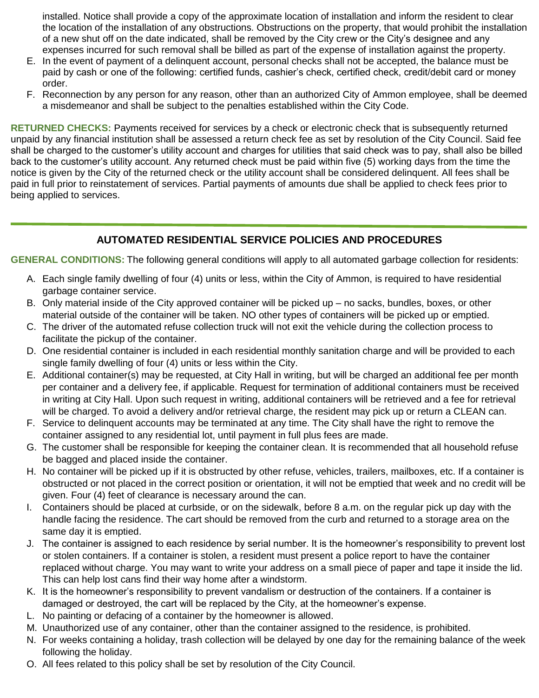installed. Notice shall provide a copy of the approximate location of installation and inform the resident to clear the location of the installation of any obstructions. Obstructions on the property, that would prohibit the installation of a new shut off on the date indicated, shall be removed by the City crew or the City's designee and any expenses incurred for such removal shall be billed as part of the expense of installation against the property.

- E. In the event of payment of a delinquent account, personal checks shall not be accepted, the balance must be paid by cash or one of the following: certified funds, cashier's check, certified check, credit/debit card or money order.
- F. Reconnection by any person for any reason, other than an authorized City of Ammon employee, shall be deemed a misdemeanor and shall be subject to the penalties established within the City Code.

**RETURNED CHECKS:** Payments received for services by a check or electronic check that is subsequently returned unpaid by any financial institution shall be assessed a return check fee as set by resolution of the City Council. Said fee shall be charged to the customer's utility account and charges for utilities that said check was to pay, shall also be billed back to the customer's utility account. Any returned check must be paid within five (5) working days from the time the notice is given by the City of the returned check or the utility account shall be considered delinquent. All fees shall be paid in full prior to reinstatement of services. Partial payments of amounts due shall be applied to check fees prior to being applied to services.

# **AUTOMATED RESIDENTIAL SERVICE POLICIES AND PROCEDURES**

**GENERAL CONDITIONS:** The following general conditions will apply to all automated garbage collection for residents:

- A. Each single family dwelling of four (4) units or less, within the City of Ammon, is required to have residential garbage container service.
- B. Only material inside of the City approved container will be picked up no sacks, bundles, boxes, or other material outside of the container will be taken. NO other types of containers will be picked up or emptied.
- C. The driver of the automated refuse collection truck will not exit the vehicle during the collection process to facilitate the pickup of the container.
- D. One residential container is included in each residential monthly sanitation charge and will be provided to each single family dwelling of four (4) units or less within the City.
- E. Additional container(s) may be requested, at City Hall in writing, but will be charged an additional fee per month per container and a delivery fee, if applicable. Request for termination of additional containers must be received in writing at City Hall. Upon such request in writing, additional containers will be retrieved and a fee for retrieval will be charged. To avoid a delivery and/or retrieval charge, the resident may pick up or return a CLEAN can.
- F. Service to delinquent accounts may be terminated at any time. The City shall have the right to remove the container assigned to any residential lot, until payment in full plus fees are made.
- G. The customer shall be responsible for keeping the container clean. It is recommended that all household refuse be bagged and placed inside the container.
- H. No container will be picked up if it is obstructed by other refuse, vehicles, trailers, mailboxes, etc. If a container is obstructed or not placed in the correct position or orientation, it will not be emptied that week and no credit will be given. Four (4) feet of clearance is necessary around the can.
- I. Containers should be placed at curbside, or on the sidewalk, before 8 a.m. on the regular pick up day with the handle facing the residence. The cart should be removed from the curb and returned to a storage area on the same day it is emptied.
- J. The container is assigned to each residence by serial number. It is the homeowner's responsibility to prevent lost or stolen containers. If a container is stolen, a resident must present a police report to have the container replaced without charge. You may want to write your address on a small piece of paper and tape it inside the lid. This can help lost cans find their way home after a windstorm.
- K. It is the homeowner's responsibility to prevent vandalism or destruction of the containers. If a container is damaged or destroyed, the cart will be replaced by the City, at the homeowner's expense.
- L. No painting or defacing of a container by the homeowner is allowed.
- M. Unauthorized use of any container, other than the container assigned to the residence, is prohibited.
- N. For weeks containing a holiday, trash collection will be delayed by one day for the remaining balance of the week following the holiday.
- O. All fees related to this policy shall be set by resolution of the City Council.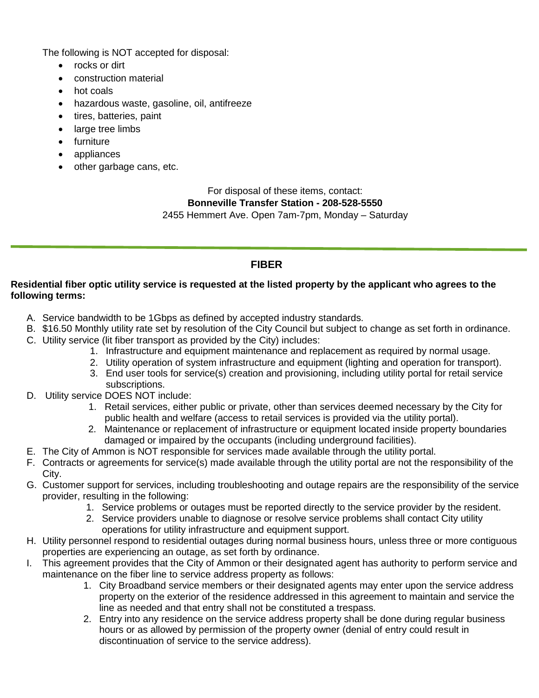The following is NOT accepted for disposal:

- rocks or dirt
- construction material
- hot coals
- hazardous waste, gasoline, oil, antifreeze
- tires, batteries, paint
- large tree limbs
- **furniture**
- appliances
- other garbage cans, etc.

For disposal of these items, contact: **Bonneville Transfer Station - 208-528-5550**

2455 Hemmert Ave. Open 7am-7pm, Monday – Saturday

# **FIBER**

#### **Residential fiber optic utility service is requested at the listed property by the applicant who agrees to the following terms:**

- A. Service bandwidth to be 1Gbps as defined by accepted industry standards.
- B. \$16.50 Monthly utility rate set by resolution of the City Council but subject to change as set forth in ordinance.
- C. Utility service (lit fiber transport as provided by the City) includes:
	- 1. Infrastructure and equipment maintenance and replacement as required by normal usage.
	- 2. Utility operation of system infrastructure and equipment (lighting and operation for transport).
	- 3. End user tools for service(s) creation and provisioning, including utility portal for retail service subscriptions.
- D. Utility service DOES NOT include:
	- 1. Retail services, either public or private, other than services deemed necessary by the City for public health and welfare (access to retail services is provided via the utility portal).
	- 2. Maintenance or replacement of infrastructure or equipment located inside property boundaries damaged or impaired by the occupants (including underground facilities).
- E. The City of Ammon is NOT responsible for services made available through the utility portal.
- F. Contracts or agreements for service(s) made available through the utility portal are not the responsibility of the City.
- G. Customer support for services, including troubleshooting and outage repairs are the responsibility of the service provider, resulting in the following:
	- 1. Service problems or outages must be reported directly to the service provider by the resident.
	- 2. Service providers unable to diagnose or resolve service problems shall contact City utility operations for utility infrastructure and equipment support.
- H. Utility personnel respond to residential outages during normal business hours, unless three or more contiguous properties are experiencing an outage, as set forth by ordinance.
- I. This agreement provides that the City of Ammon or their designated agent has authority to perform service and maintenance on the fiber line to service address property as follows:
	- 1. City Broadband service members or their designated agents may enter upon the service address property on the exterior of the residence addressed in this agreement to maintain and service the line as needed and that entry shall not be constituted a trespass.
	- 2. Entry into any residence on the service address property shall be done during regular business hours or as allowed by permission of the property owner (denial of entry could result in discontinuation of service to the service address).